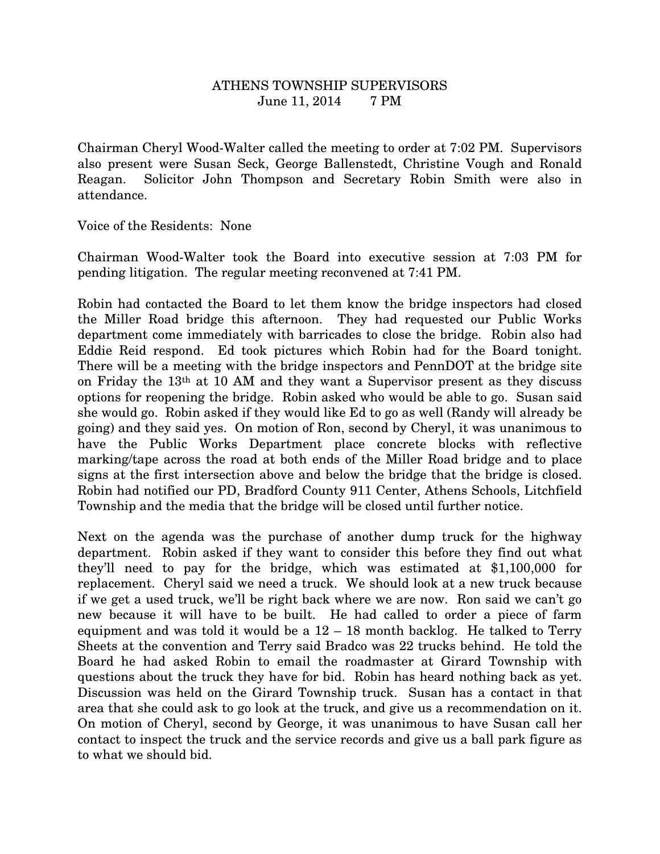## ATHENS TOWNSHIP SUPERVISORS June 11, 2014 7 PM

Chairman Cheryl Wood-Walter called the meeting to order at 7:02 PM. Supervisors also present were Susan Seck, George Ballenstedt, Christine Vough and Ronald Reagan. Solicitor John Thompson and Secretary Robin Smith were also in attendance.

Voice of the Residents: None

Chairman Wood-Walter took the Board into executive session at 7:03 PM for pending litigation. The regular meeting reconvened at 7:41 PM.

Robin had contacted the Board to let them know the bridge inspectors had closed the Miller Road bridge this afternoon. They had requested our Public Works department come immediately with barricades to close the bridge. Robin also had Eddie Reid respond. Ed took pictures which Robin had for the Board tonight. There will be a meeting with the bridge inspectors and PennDOT at the bridge site on Friday the 13th at 10 AM and they want a Supervisor present as they discuss options for reopening the bridge. Robin asked who would be able to go. Susan said she would go. Robin asked if they would like Ed to go as well (Randy will already be going) and they said yes. On motion of Ron, second by Cheryl, it was unanimous to have the Public Works Department place concrete blocks with reflective marking/tape across the road at both ends of the Miller Road bridge and to place signs at the first intersection above and below the bridge that the bridge is closed. Robin had notified our PD, Bradford County 911 Center, Athens Schools, Litchfield Township and the media that the bridge will be closed until further notice.

Next on the agenda was the purchase of another dump truck for the highway department. Robin asked if they want to consider this before they find out what they'll need to pay for the bridge, which was estimated at \$1,100,000 for replacement. Cheryl said we need a truck. We should look at a new truck because if we get a used truck, we'll be right back where we are now. Ron said we can't go new because it will have to be built. He had called to order a piece of farm equipment and was told it would be a 12 – 18 month backlog. He talked to Terry Sheets at the convention and Terry said Bradco was 22 trucks behind. He told the Board he had asked Robin to email the roadmaster at Girard Township with questions about the truck they have for bid. Robin has heard nothing back as yet. Discussion was held on the Girard Township truck. Susan has a contact in that area that she could ask to go look at the truck, and give us a recommendation on it. On motion of Cheryl, second by George, it was unanimous to have Susan call her contact to inspect the truck and the service records and give us a ball park figure as to what we should bid.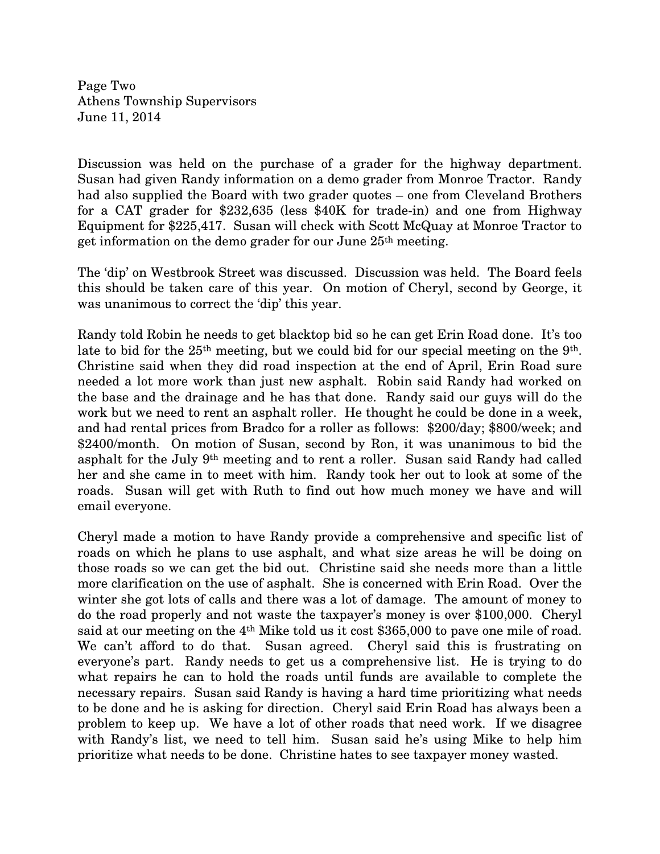Page Two Athens Township Supervisors June 11, 2014

Discussion was held on the purchase of a grader for the highway department. Susan had given Randy information on a demo grader from Monroe Tractor. Randy had also supplied the Board with two grader quotes – one from Cleveland Brothers for a CAT grader for \$232,635 (less \$40K for trade-in) and one from Highway Equipment for \$225,417. Susan will check with Scott McQuay at Monroe Tractor to get information on the demo grader for our June 25th meeting.

The 'dip' on Westbrook Street was discussed. Discussion was held. The Board feels this should be taken care of this year. On motion of Cheryl, second by George, it was unanimous to correct the 'dip' this year.

Randy told Robin he needs to get blacktop bid so he can get Erin Road done. It's too late to bid for the 25<sup>th</sup> meeting, but we could bid for our special meeting on the 9<sup>th</sup>. Christine said when they did road inspection at the end of April, Erin Road sure needed a lot more work than just new asphalt. Robin said Randy had worked on the base and the drainage and he has that done. Randy said our guys will do the work but we need to rent an asphalt roller. He thought he could be done in a week, and had rental prices from Bradco for a roller as follows: \$200/day; \$800/week; and \$2400/month. On motion of Susan, second by Ron, it was unanimous to bid the asphalt for the July 9th meeting and to rent a roller. Susan said Randy had called her and she came in to meet with him. Randy took her out to look at some of the roads. Susan will get with Ruth to find out how much money we have and will email everyone.

Cheryl made a motion to have Randy provide a comprehensive and specific list of roads on which he plans to use asphalt, and what size areas he will be doing on those roads so we can get the bid out. Christine said she needs more than a little more clarification on the use of asphalt. She is concerned with Erin Road. Over the winter she got lots of calls and there was a lot of damage. The amount of money to do the road properly and not waste the taxpayer's money is over \$100,000. Cheryl said at our meeting on the 4th Mike told us it cost \$365,000 to pave one mile of road. We can't afford to do that. Susan agreed. Cheryl said this is frustrating on everyone's part. Randy needs to get us a comprehensive list. He is trying to do what repairs he can to hold the roads until funds are available to complete the necessary repairs. Susan said Randy is having a hard time prioritizing what needs to be done and he is asking for direction. Cheryl said Erin Road has always been a problem to keep up. We have a lot of other roads that need work. If we disagree with Randy's list, we need to tell him. Susan said he's using Mike to help him prioritize what needs to be done. Christine hates to see taxpayer money wasted.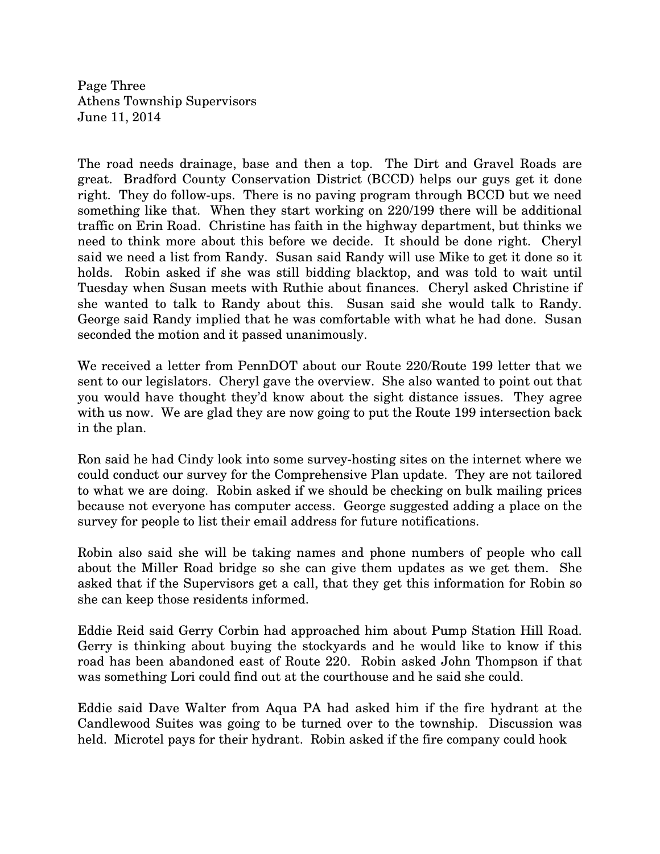Page Three Athens Township Supervisors June 11, 2014

The road needs drainage, base and then a top. The Dirt and Gravel Roads are great. Bradford County Conservation District (BCCD) helps our guys get it done right. They do follow-ups. There is no paving program through BCCD but we need something like that. When they start working on 220/199 there will be additional traffic on Erin Road. Christine has faith in the highway department, but thinks we need to think more about this before we decide. It should be done right. Cheryl said we need a list from Randy. Susan said Randy will use Mike to get it done so it holds. Robin asked if she was still bidding blacktop, and was told to wait until Tuesday when Susan meets with Ruthie about finances. Cheryl asked Christine if she wanted to talk to Randy about this. Susan said she would talk to Randy. George said Randy implied that he was comfortable with what he had done. Susan seconded the motion and it passed unanimously.

We received a letter from PennDOT about our Route 220/Route 199 letter that we sent to our legislators. Cheryl gave the overview. She also wanted to point out that you would have thought they'd know about the sight distance issues. They agree with us now. We are glad they are now going to put the Route 199 intersection back in the plan.

Ron said he had Cindy look into some survey-hosting sites on the internet where we could conduct our survey for the Comprehensive Plan update. They are not tailored to what we are doing. Robin asked if we should be checking on bulk mailing prices because not everyone has computer access. George suggested adding a place on the survey for people to list their email address for future notifications.

Robin also said she will be taking names and phone numbers of people who call about the Miller Road bridge so she can give them updates as we get them. She asked that if the Supervisors get a call, that they get this information for Robin so she can keep those residents informed.

Eddie Reid said Gerry Corbin had approached him about Pump Station Hill Road. Gerry is thinking about buying the stockyards and he would like to know if this road has been abandoned east of Route 220. Robin asked John Thompson if that was something Lori could find out at the courthouse and he said she could.

Eddie said Dave Walter from Aqua PA had asked him if the fire hydrant at the Candlewood Suites was going to be turned over to the township. Discussion was held. Microtel pays for their hydrant. Robin asked if the fire company could hook